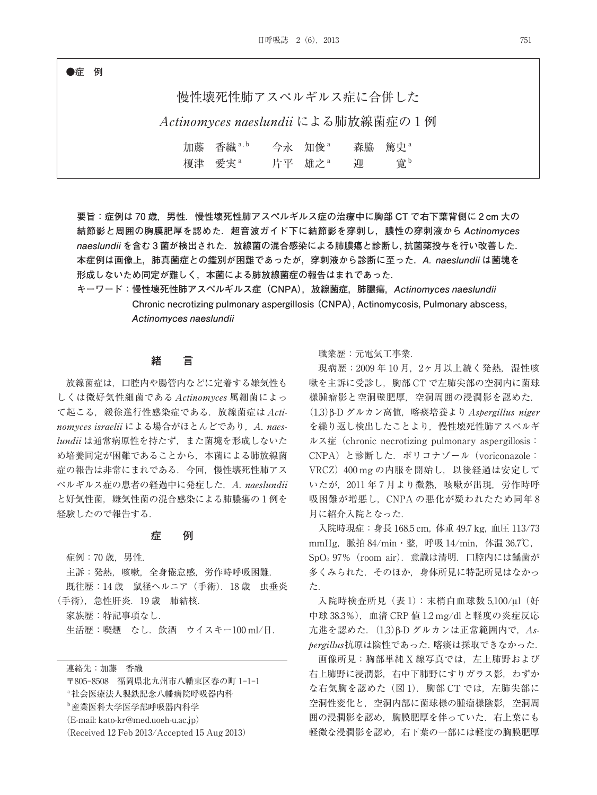**●症 例**

| 慢性壊死性肺アスペルギルス症に合併した               |                                                            |  |         |         |                       |  |  |  |
|-----------------------------------|------------------------------------------------------------|--|---------|---------|-----------------------|--|--|--|
| Actinomyces naeslundiiによる肺放線菌症の1例 |                                                            |  |         |         |                       |  |  |  |
| 加藤                                | 香織 <sup>a,b</sup> 今永 知俊 <sup>a</sup><br>榎津 愛実 <sup>a</sup> |  | 片平 雄之 * | 森脇<br>迎 | 篇史 <sup>a</sup><br>實b |  |  |  |

**要旨:症例は 70 歳,男性.慢性壊死性肺アスペルギルス症の治療中に胸部 CT で右下葉背側に 2 cm 大の 結節影と周囲の胸膜肥厚を認めた.超音波ガイド下に結節影を穿刺し,膿性の穿刺液から Actinomyces naeslundii を含む 3 菌が検出された.放線菌の混合感染による肺膿瘍と診断し,抗菌薬投与を行い改善した. 本症例は画像上,肺真菌症との鑑別が困難であったが,穿刺液から診断に至った.A. naeslundii は菌塊を 形成しないため同定が難しく,本菌による肺放線菌症の報告はまれであった.**

**キーワード:慢性壊死性肺アスペルギルス症(CNPA),放線菌症,肺膿瘍,Actinomyces naeslundii Chronic necrotizing pulmonary aspergillosis (CNPA), Actinomycosis, Pulmonary abscess, Actinomyces naeslundii**

## **緒 言**

放線菌症は,口腔内や腸管内などに定着する嫌気性も しくは微好気性細菌である Actinomyces 属細菌によっ て起こる,緩徐進行性感染症である.放線菌症は Actinomyces israelii による場合がほとんどであり、A. naeslundii は通常病原性を持たず,また菌塊を形成しないた め培養同定が困難であることから,本菌による肺放線菌 症の報告は非常にまれである.今回,慢性壊死性肺アス ペルギルス症の患者の経過中に発症した,A. naeslundii と好気性菌,嫌気性菌の混合感染による肺膿瘍の 1 例を 経験したので報告する.

## **症 例**

症例:70 歳, 男性. 主訴:発熱,咳嗽,全身倦怠感,労作時呼吸困難. 既往歴:14 歳 鼠径ヘルニア(手術).18 歳 虫垂炎 (手術),急性肝炎.19 歳 肺結核. 家族歴:特記事項なし. 生活歴:喫煙 なし.飲酒 ウイスキー100 ml/日.

連絡先:加藤 香織

〒805-8508 福岡県北九州市八幡東区春の町 1-1-1 a社会医療法人製鉄記念八幡病院呼吸器内科 b産業医科大学医学部呼吸器内科学 (E-mail: kato-kr@med.uoeh-u.ac.jp) (Received 12 Feb 2013/Accepted 15 Aug 2013)

職業歴:元電気工事業.

現病歴: 2009年10月, 2ヶ月以上続く発熱, 湿性咳 嗽を主訴に受診し,胸部 CT で左肺尖部の空洞内に菌球 様腫瘤影と空洞壁肥厚,空洞周囲の浸潤影を認めた. (1,3)β-D グルカン高値,喀痰培養より Aspergillus niger を繰り返し検出したことより,慢性壊死性肺アスペルギ  $\nu \times \hat{\mathbb{E}}$  (chronic necrotizing pulmonary aspergillosis: CNPA)と診断した.ボリコナゾール(voriconazole: VRCZ) 400 mg の内服を開始し、以後経過は安定して いたが,2011 年 7 月より微熱,咳嗽が出現,労作時呼 吸困難が増悪し,CNPA の悪化が疑われたため同年 8 月に紹介入院となった.

入院時現症:身長 168.5 cm,体重 49.7 kg,血圧 113/73 mmHg,脈拍 84/min・整,呼吸 14/min,体温 36.7℃, SpO2 97%(room air).意識は清明.口腔内には齲歯が 多くみられた.そのほか,身体所見に特記所見はなかっ た.

入院時検査所見(表 1):末梢白血球数 5,100/μl(好 中球 38.3%),血清 CRP 値 1.2 mg/dl と軽度の炎症反応 亢進を認めた.(1,3)β-D グルカンは正常範囲内で,Aspergillus抗原は陰性であった.喀痰は採取できなかった.

画像所見: 胸部単純 X 線写真では, 左上肺野および 右上肺野に浸潤影,右中下肺野にすりガラス影,わずか な右気胸を認めた (図 1). 胸部 CT では、左肺尖部に 空洞性変化と、空洞内部に菌球様の腫瘤様陰影、空洞周 囲の浸潤影を認め,胸膜肥厚を伴っていた.右上葉にも 軽微な浸潤影を認め,右下葉の一部には軽度の胸膜肥厚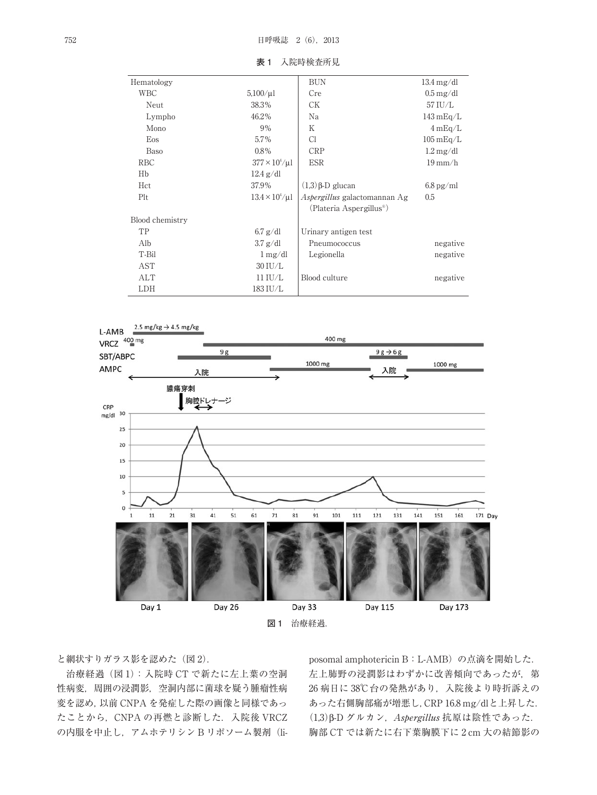| <b>BUN</b><br>Hematology<br><b>WBC</b><br>$5,100/\mu$<br>Cre        | $13.4 \text{ mg/dl}$<br>$0.5 \,\mathrm{mg}/\mathrm{dl}$ |
|---------------------------------------------------------------------|---------------------------------------------------------|
|                                                                     |                                                         |
|                                                                     |                                                         |
| СK<br>38.3%<br>Neut                                                 | 57 IU/L                                                 |
| 46.2%<br>Na<br>Lympho                                               | $143 \text{ mEq/L}$                                     |
| 9%<br>Mono<br>K                                                     | 4 mEq/L                                                 |
| 5.7%<br>C1<br>Eos                                                   | $105 \text{ mEq/L}$                                     |
| 0.8%<br><b>CRP</b><br><b>Baso</b>                                   | $1.2 \,\mathrm{mg/dl}$                                  |
| $377 \times 10^4/\mu$<br><b>ESR</b><br>RBC                          | $19 \text{ mm/h}$                                       |
| $12.4$ g/dl<br>Hb                                                   |                                                         |
| 37.9%<br>$(1,3)$ $\beta$ -D glucan<br>Hct                           | $6.8 \,\mathrm{pg/ml}$                                  |
| $13.4 \times 10^{4} / \mu$ l<br>Plt<br>Aspergillus galactomannan Ag | 0.5                                                     |
| (Plateria Aspergillus <sup>®</sup> )                                |                                                         |
| Blood chemistry                                                     |                                                         |
| TP<br>Urinary antigen test<br>$6.7$ g/dl                            |                                                         |
| Alb<br>$3.7$ g/dl<br>Pneumococcus                                   | negative                                                |
| T-Bil<br>Legionella<br>$1 \text{ mg}/\text{dl}$                     | negative                                                |
| AST<br>$30$ IU/L                                                    |                                                         |
| ALT <sub></sub><br>$11$ IU/L<br>Blood culture                       | negative                                                |
| <b>LDH</b><br>183 IU/L                                              |                                                         |

**表 1** 入院時検査所見



と網状すりガラス影を認めた (図 2).

治療経過(図 1):入院時 CT で新たに左上葉の空洞 性病変, 周囲の浸潤影, 空洞内部に菌球を疑う腫瘤性病 変を認め,以前 CNPA を発症した際の画像と同様であっ たことから、CNPA の再燃と診断した. 入院後 VRCZ の内服を中止し、アムホテリシン B リポソーム製剤 (li-

posomal amphotericin B: L-AMB) の点滴を開始した. 左上肺野の浸潤影はわずかに改善傾向であったが、第 26 病日に 38℃台の発熱があり,入院後より時折訴えの あった右側胸部痛が増悪し,CRP 16.8 mg/dlと上昇した.  $(1,3)$ β-D グルカン, Aspergillus 抗原は陰性であった. 胸部 CT では新たに右下葉胸膜下に 2 cm 大の結節影の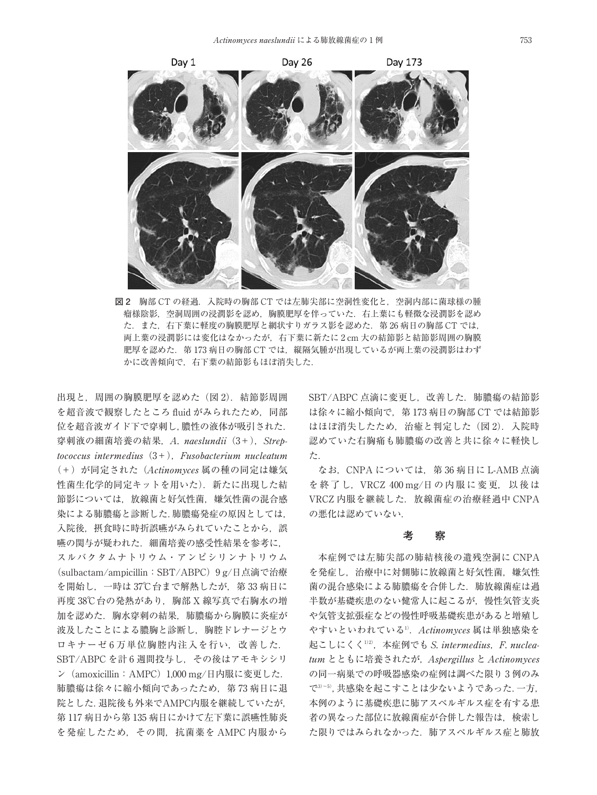

**図 2** 胸部 CT の経過.入院時の胸部 CT では左肺尖部に空洞性変化と,空洞内部に菌球様の腫 瘤様陰影,空洞周囲の浸潤影を認め,胸膜肥厚を伴っていた.右上葉にも軽微な浸潤影を認め た.また,右下葉に軽度の胸膜肥厚と網状すりガラス影を認めた.第 26 病日の胸部 CT では, 両上葉の浸潤影には変化はなかったが,右下葉に新たに 2 cm 大の結節影と結節影周囲の胸膜 肥厚を認めた. 第 173 病日の胸部 CT では、縦隔気腫が出現しているが両上葉の浸潤影はわず かに改善傾向で,右下葉の結節影もほぼ消失した.

出現と,周囲の胸膜肥厚を認めた(図 2).結節影周囲 を超音波で観察したところ fluid がみられたため、同部 位を超音波ガイド下で穿刺し,膿性の液体が吸引された. 穿刺液の細菌培養の結果, A. naeslundii (3+), Streptococcus intermedius  $(3+)$ , Fusobacterium nucleatum (+) が同定された (Actinomyces 属の種の同定は嫌気 性菌生化学的同定キットを用いた). 新たに出現した結 節影については,放線菌と好気性菌,嫌気性菌の混合感 染による肺膿瘍と診断した.肺膿瘍発症の原因としては, 入院後、摂食時に時折誤嚥がみられていたことから、誤 嚥の関与が疑われた.細菌培養の感受性結果を参考に, スルバクタムナトリウム・アンピシリンナトリウム (sulbactam/ampicillin:SBT/ABPC)9 g/日点滴で治療 を開始し,一時は 37℃台まで解熱したが,第 33 病日に 再度 38℃台の発熱があり,胸部 X 線写真で右胸水の増 加を認めた.胸水穿刺の結果,肺膿瘍から胸膜に炎症が 波及したことによる膿胸と診断し,胸腔ドレナージとウ ロキナーゼ6万単位胸腔内注入を行い、改善した. SBT/ABPC を計6 週間投与し、その後はアモキシシリ ン(amoxicillin:AMPC)1,000 mg/日内服に変更した. 肺膿瘍は徐々に縮小傾向であったため,第 73 病日に退 院とした.退院後も外来でAMPC内服を継続していたが, 第 117 病日から第 135 病日にかけて左下葉に誤嚥性肺炎 を発症したため、その間、抗菌薬を AMPC 内服から SBT/ABPC点滴に変更し、改善した. 肺膿瘍の結節影 は徐々に縮小傾向で,第 173 病日の胸部 CT では結節影 はほぼ消失したため,治癒と判定した(図 2).入院時 認めていた右胸痛も肺膿瘍の改善と共に徐々に軽快し た.

なお, CNPA については、第 36 病日に L-AMB 点滴 を終了し, VRCZ 400 mg/日の内服に変更, 以後は VRCZ 内服を継続した. 放線菌症の治療経過中 CNPA の悪化は認めていない.

### **考 察**

本症例では左肺尖部の肺結核後の遺残空洞に CNPA を発症し、治療中に対側肺に放線菌と好気性菌、嫌気性 菌の混合感染による肺膿瘍を合併した.肺放線菌症は過 半数が基礎疾患のない健常人に起こるが,慢性気管支炎 や気管支拡張症などの慢性呼吸基礎疾患があると増殖し やすいといわれている<sup>1)</sup>. Actinomyces 属は単独感染を 起こしにくく<sup>1)2)</sup>, 本症例でも S. intermedius, F. nucleatum とともに培養されたが, Aspergillus と Actinomyces の同一病巣での呼吸器感染の症例は調べた限り 3 例のみ で3)~5) ,共感染を起こすことは少ないようであった.一方, 本例のように基礎疾患に肺アスペルギルス症を有する患 者の異なった部位に放線菌症が合併した報告は,検索し た限りではみられなかった.肺アスペルギルス症と肺放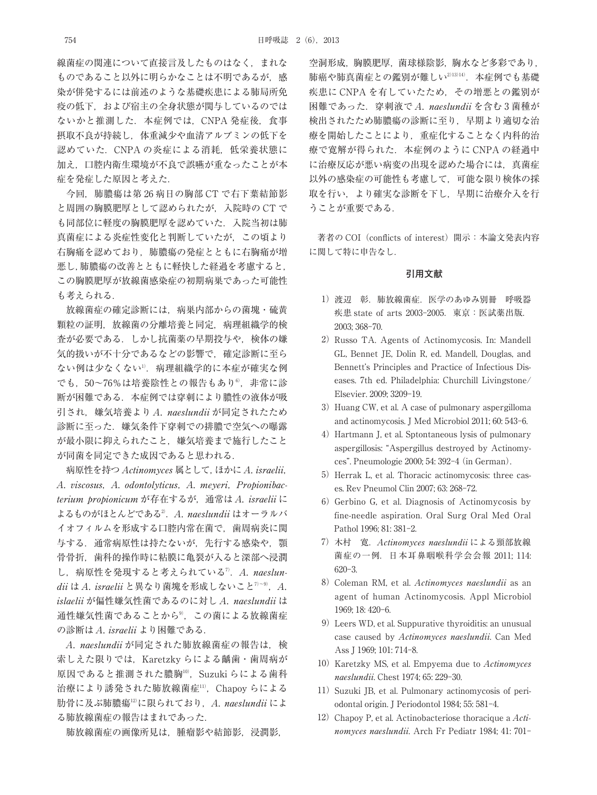線菌症の関連について直接言及したものはなく,まれな ものであること以外に明らかなことは不明であるが、感 染が併発するには前述のような基礎疾患による肺局所免 疫の低下,および宿主の全身状態が関与しているのでは ないかと推測した. 本症例では、CNPA 発症後、食事 摂取不良が持続し、体重減少や血清アルブミンの低下を 認めていた. CNPA の炎症による消耗, 低栄養状態に 加え,口腔内衛生環境が不良で誤嚥が重なったことが本 症を発症した原因と考えた.

今回,肺膿瘍は第 26 病日の胸部 CT で右下葉結節影 と周囲の胸膜肥厚として認められたが,入院時の CT で も同部位に軽度の胸膜肥厚を認めていた.入院当初は肺 真菌症による炎症性変化と判断していたが,この頃より 右胸痛を認めており,肺膿瘍の発症とともに右胸痛が増 悪し,肺膿瘍の改善とともに軽快した経過を考慮すると, この胸膜肥厚が放線菌感染症の初期病巣であった可能性 も考えられる.

放線菌症の確定診断には、病巣内部からの菌塊・硫黄 顆粒の証明,放線菌の分離培養と同定,病理組織学的検 査が必要である.しかし抗菌薬の早期投与や,検体の嫌 気的扱いが不十分であるなどの影響で,確定診断に至ら ない例は少なくない1) .病理組織学的に本症が確実な例 でも,50~76%は培養陰性との報告もあり<sup>6</sup>,非常に診 断が困難である.本症例では穿刺により膿性の液体が吸 引され、嫌気培養より A. naeslundii が同定されたため 診断に至った.嫌気条件下穿刺での排膿で空気への曝露 が最小限に抑えられたこと,嫌気培養まで施行したこと が同菌を同定できた成因であると思われる.

病原性を持つ Actinomyces 属として,ほかに A. israelii, A. viscosus, A. odontolyticus, A. meyeri, Propionibacterium propionicum が存在するが, 通常は A. israelii に よるものがほとんどである<sup>2)</sup>. A. naeslundii はオーラルバ イオフィルムを形成する口腔内常在菌で、歯周病炎に関 与する.通常病原性は持たないが,先行する感染や,顎 骨骨折,歯科的操作時に粘膜に亀裂が入ると深部へ浸潤 し、病原性を発現すると考えられている<sup>7</sup>. A. naeslundii は A. israelii と異なり菌塊を形成しないこと<sup>7)~9)</sup>,A. islaelii が偏性嫌気性菌であるのに対し A. naeslundii は 通性嫌気性菌であることから<sup>9</sup>,この菌による放線菌症 の診断は A. israelii より困難である.

A. naeslundii が同定された肺放線菌症の報告は、検 索しえた限りでは、Karetzky らによる齲歯・歯周病が 原因であると推測された膿胸10) ,Suzuki らによる歯科 治療により誘発された肺放線菌症11) ,Chapoy らによる 肋骨に及ぶ肺膿瘍<sup>12)</sup>に限られており,*A. naeslundii* によ る肺放線菌症の報告はまれであった.

肺放線菌症の画像所見は,腫瘤影や結節影,浸潤影,

空洞形成,胸膜肥厚,菌球様陰影,胸水など多彩であり, 肺癌や肺真菌症との鑑別が難しい<sup>2)13)14)</sup>.本症例でも基礎 疾患に CNPA を有していたため,その増悪との鑑別が 困難であった.穿刺液で A. naeslundii を含む 3 菌種が 検出されたため肺膿瘍の診断に至り,早期より適切な治 療を開始したことにより,重症化することなく内科的治 療で寛解が得られた.本症例のように CNPA の経過中 に治療反応が悪い病変の出現を認めた場合には,真菌症 以外の感染症の可能性も考慮して,可能な限り検体の採 取を行い,より確実な診断を下し,早期に治療介入を行 うことが重要である.

著者の COI (conflicts of interest) 開示: 本論文発表内容 に関して特に申告なし.

#### **引用文献**

- 1)渡辺 彰.肺放線菌症.医学のあゆみ別冊 呼吸器 疾患 state of arts 2003-2005.東京:医試薬出版. 2003; 368-70.
- 2) Russo TA. Agents of Actinomycosis. In: Mandell GL, Bennet JE, Dolin R, ed. Mandell, Douglas, and Bennett's Principles and Practice of Infectious Diseases. 7th ed. Philadelphia: Churchill Livingstone/ Elsevier. 2009; 3209-19.
- 3) Huang CW, et al. A case of pulmonary aspergilloma and actinomycosis. J Med Microbiol 2011; 60: 543-6.
- 4) Hartmann J, et al. Sptontaneous lysis of pulmonary aspergillosis: "Aspergillus destroyed by Actinomyces". Pneumologie 2000; 54: 392-4(in German).
- 5) Herrak L, et al. Thoracic actinomycosis: three cases. Rev Pneumol Clin 2007; 63: 268-72.
- 6) Gerbino G, et al. Diagnosis of Actinomycosis by fine-needle aspiration. Oral Surg Oral Med Oral Pathol 1996; 81: 381-2.
- 7)木村 寛.Actinomyces naeslundii による頸部放線 菌症の一例.日本耳鼻咽喉科学会会報 2011; 114: 620-3.
- 8) Coleman RM, et al. Actinomyces naeslundii as an agent of human Actinomycosis. Appl Microbiol 1969; 18: 420-6.
- 9)Leers WD, et al. Suppurative thyroiditis: an unusual case caused by Actinomyces naeslundii. Can Med Ass J 1969; 101: 714-8.
- 10) Karetzky MS, et al. Empyema due to Actinomyces naeslundii. Chest 1974; 65: 229-30.
- 11) Suzuki JB, et al. Pulmonary actinomycosis of periodontal origin. J Periodontol 1984; 55: 581-4.
- 12) Chapoy P, et al. Actinobacteriose thoracique a  $Acti$ nomyces naeslundii. Arch Fr Pediatr 1984; 41: 701-